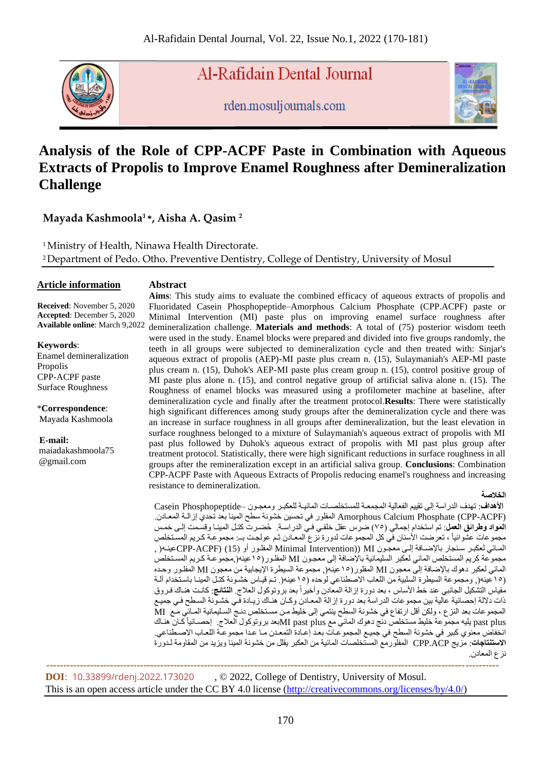

Al-Rafidain Dental Journal

rden.mosuljournals.com



# **Analysis of the Role of CPP-ACPF Paste in Combination with Aqueous Extracts of Propolis to Improve Enamel Roughness after Demineralization Challenge**

## **Mayada Kashmoola<sup>1</sup>\*, Aisha A. Qasim <sup>2</sup>**

<sup>1</sup> Ministry of Health, Ninawa Health Directorate. <sup>2</sup>Department of Pedo. Otho. Preventive Dentistry, College of Dentistry, University of Mosul

### **Article information**

**Abstract**

**Received**: November 5, 2020 **Accepted**: December 5, 2020 **Available online**: March 9,2022

**Keywords**:

Enamel demineralization Propolis CPP-ACPF paste Surface Roughness

\***Correspondence**: Mayada Kashmoola

**E-mail:** maiadakashmoola75

@gmail.com

**Aims**: This study aims to evaluate the combined efficacy of aqueous extracts of propolis and Fluoridated Casein Phosphopeptide–Amorphous Calcium Phosphate (CPP.ACPF) paste or Minimal Intervention (MI) paste plus on improving enamel surface roughness after demineralization challenge. **Materials and methods**: A total of (75) posterior wisdom teeth were used in the study. Enamel blocks were prepared and divided into five groups randomly, the teeth in all groups were subjected to demineralization cycle and then treated with: Sinjar's aqueous extract of propolis (AEP)-MI paste plus cream n. (15), Sulaymaniah's AEP-MI paste plus cream n. (15), Duhok's AEP-MI paste plus cream group n. (15), control positive group of MI paste plus alone n. (15), and control negative group of artificial saliva alone n. (15). The Roughness of enamel blocks was measured using a profilometer machine at baseline, after demineralization cycle and finally after the treatment protocol.**Results**: There were statistically high significant differences among study groups after the demineralization cycle and there was an increase in surface roughness in all groups after demineralization, but the least elevation in surface roughness belonged to a mixture of Sulaymaniah's aqueous extract of propolis with MI past plus followed by Duhok's aqueous extract of propolis with MI past plus group after treatment protocol. Statistically, there were high significant reductions in surface roughness in all groups after the remineralization except in an artificial saliva group. **Conclusions**: Combination CPP-ACPF Paste with Aqueous Extracts of Propolis reducing enamel's roughness and increasing resistance to demineralization.

### **الخالصة**

الأهداف: تهدف الدراسة إلى تقييم الفعالية المجمعـة للمستخلصـات المائيـة للعكبـر ومعجـون –Casein Phosphopeptide (Amorphous Calcium Phosphate (CPP-ACPF المفلور في تحسين خشونة سطح المينا بعد تحدي إزالـة المعـادن. ا**لمواد وطرائق العمل**: تم استخدام إجمالي (٢٥) ضرس عقل خلفي في الدراسة. حُضـرت كتـل المينـا وقسمت إلـى خمـس مجمو عات عشوائياً ، تعرضت الأسنان في كل المجموعات لدورة نزع المعـادن ثـم عولجـت بــ: مجموعـة كـريم المستخلص , المائي لعكبر سنجار بالإضافة إلى معجّون MI) MInimal Intervention) المفلور أو CPP-ACPF) (15) عينـه( مجموعة كريم المستخلص المائي لعكبر السليمانية بالإضافة إلى معجون MI المفلور(١٥عينه(,مجموعـة كـريم المستخلص المائي لعكبر دهوك بالإضافة إلى معجون MI المفلور(١٥عينه(, مجموعة السيطرة الإيجابية من معجون MI المفلور وحده (١٥قينه(, ومجموعة السيطرة السلبية من اللعاب الاصطناعي لوحده (١٥عينه(. تم قيـاس خشـونة كتـل المينـا باسـتخدام الـة مقياس التشكيل الجانبي عند خط الأساس ، بعد دورة إزالة المعادن وأخيراً بعد بروتوكول العلاج<sub>.</sub> ا**لنتانج**: كانت هنـاك فـروق ذات دلالة إحصائية عالية بين مجموعات الدراسة بعد دورة إزالة المعـادن وكـان هنـاك زيـادة فـي خشـونة السـطح فـي جميـع المجمو عات بعد النز ع ، ولكن أقل ارتفاع في خشونة السطح ينتمي إلى خليط من مستخلص دنـج السليمانية المـائي مـع MI past plus يليه مجموعة خليط مستخلص دنج دهوك المائي مع MI past plusابعد بروتوكول العلاج. إحصـائياً كـان هنـاك انخفاض معّنوي كبير في خشونة السطح في جميـع المجموعـات بعـد إعـادة التمعـدن مـا عـدا مجموعـة اللعـاب الاصـطناعي. **الاستنتاجات**: مزيج CPP.ACP المفلّورمّع المستخلصات المائية من العكبر يقلل من خشونة المينا ويزيد من المقاومة لـدورة نز ع المعادن.

**DOI**: [10.33899/rdenj.2022.173020](http://dx.doi.org/10.33899/rdenj.2022.173020) , © 2022, College of Dentistry, University of Mosul. This is an open access article under the CC BY 4.0 license [\(http://creativecommons.org/licenses/by/4.0/\)](http://creativecommons.org/licenses/by/4.0/)

 **---------------------------------------------------------------------------------------------------------------------------------------**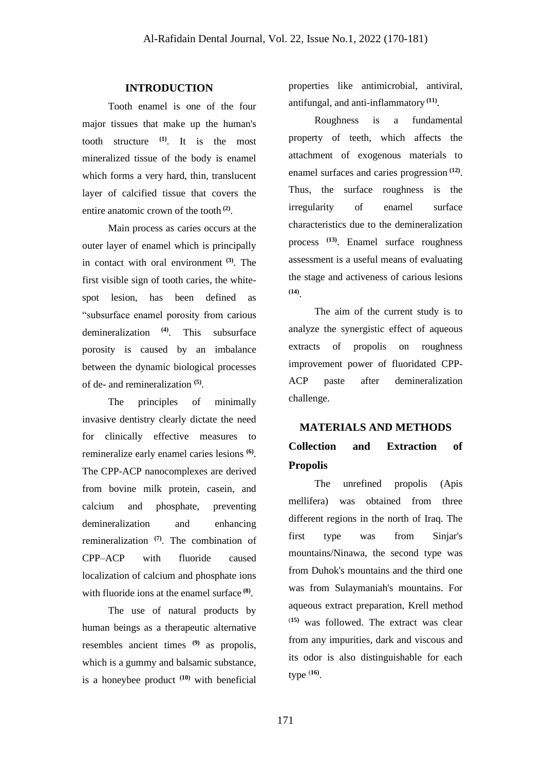## **INTRODUCTION**

Tooth enamel is one of the four major tissues that make up the human's tooth structure **(1)**. It is the most mineralized tissue of the body is enamel which forms a very hard, thin, translucent layer of calcified tissue that covers the entire anatomic crown of the tooth **(2)** .

Main process as caries occurs at the outer layer of enamel which is principally in contact with oral environment **(3)** . The first visible sign of tooth caries, the whitespot lesion, has been defined as "subsurface enamel porosity from carious demineralization **(4)**. This subsurface porosity is caused by an imbalance between the dynamic biological processes of de- and remineralization **(5)** .

The principles of minimally invasive dentistry clearly dictate the need for clinically effective measures to remineralize early enamel caries lesions **(6)** . The CPP-ACP nanocomplexes are derived from bovine milk protein, casein, and calcium and phosphate, preventing demineralization and enhancing remineralization **(7)** . The combination of CPP–ACP with fluoride caused localization of calcium and phosphate ions with fluoride ions at the enamel surface **(8)** .

The use of natural products by human beings as a therapeutic alternative resembles ancient times **(9)** as propolis, which is a gummy and balsamic substance, is a honeybee product **(10)** with beneficial properties like antimicrobial, antiviral, antifungal, and anti-inflammatory **(11)** .

Roughness is a fundamental property of teeth, which affects the attachment of exogenous materials to enamel surfaces and caries progression **(12)** . Thus, the surface roughness is the irregularity of enamel surface characteristics due to the demineralization process **(13)**. Enamel surface roughness assessment is a useful means of evaluating the stage and activeness of carious lesions **(14)** .

The aim of the current study is to analyze the synergistic effect of aqueous extracts of propolis on roughness improvement power of fluoridated CPP-ACP paste after demineralization challenge.

# **MATERIALS AND METHODS Collection and Extraction of Propolis**

The unrefined propolis (Apis mellifera) was obtained from three different regions in the north of Iraq. The first type was from Sinjar's mountains/Ninawa, the second type was from Duhok's mountains and the third one was from Sulaymaniah's mountains. For aqueous extract preparation, Krell method (**15)** was followed. The extract was clear from any impurities, dark and viscous and its odor is also distinguishable for each type (**16)** .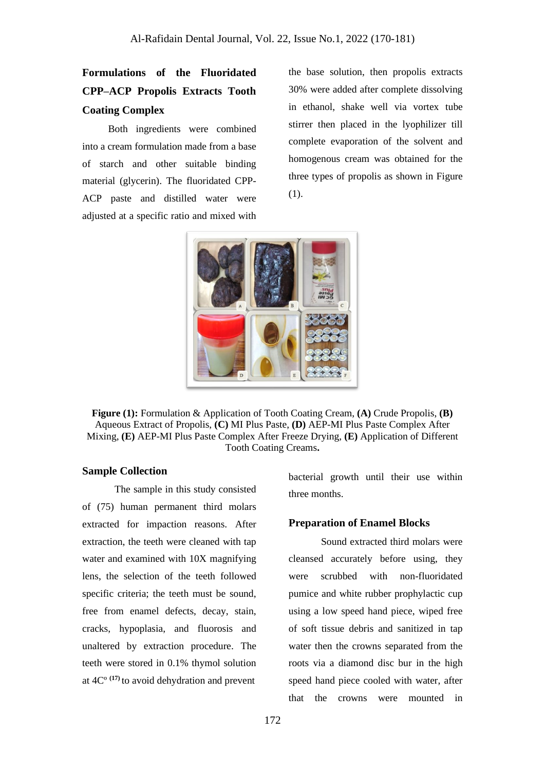## **Formulations of the Fluoridated CPP–ACP Propolis Extracts Tooth Coating Complex**

Both ingredients were combined into a cream formulation made from a base of starch and other suitable binding material (glycerin). The fluoridated CPP-ACP paste and distilled water were adjusted at a specific ratio and mixed with

the base solution, then propolis extracts 30% were added after complete dissolving in ethanol, shake well via vortex tube stirrer then placed in the lyophilizer till complete evaporation of the solvent and homogenous cream was obtained for the three types of propolis as shown in Figure (1).



**Figure (1):** Formulation & Application of Tooth Coating Cream, **(A)** Crude Propolis, **(B)** Aqueous Extract of Propolis, **(C)** MI Plus Paste, **(D)** AEP-MI Plus Paste Complex After Mixing, **(E)** AEP-MI Plus Paste Complex After Freeze Drying, **(E)** Application of Different Tooth Coating Creams**.**

## **Sample Collection**

The sample in this study consisted of (75) human permanent third molars extracted for impaction reasons. After extraction, the teeth were cleaned with tap water and examined with 10X magnifying lens, the selection of the teeth followed specific criteria; the teeth must be sound, free from enamel defects, decay, stain, cracks, hypoplasia, and fluorosis and unaltered by extraction procedure. The teeth were stored in 0.1% thymol solution at 4Cº **(17)** to avoid dehydration and prevent

bacterial growth until their use within three months.

#### **Preparation of Enamel Blocks**

Sound extracted third molars were cleansed accurately before using, they were scrubbed with non-fluoridated pumice and white rubber prophylactic cup using a low speed hand piece, wiped free of soft tissue debris and sanitized in tap water then the crowns separated from the roots via a diamond disc bur in the high speed hand piece cooled with water, after that the crowns were mounted in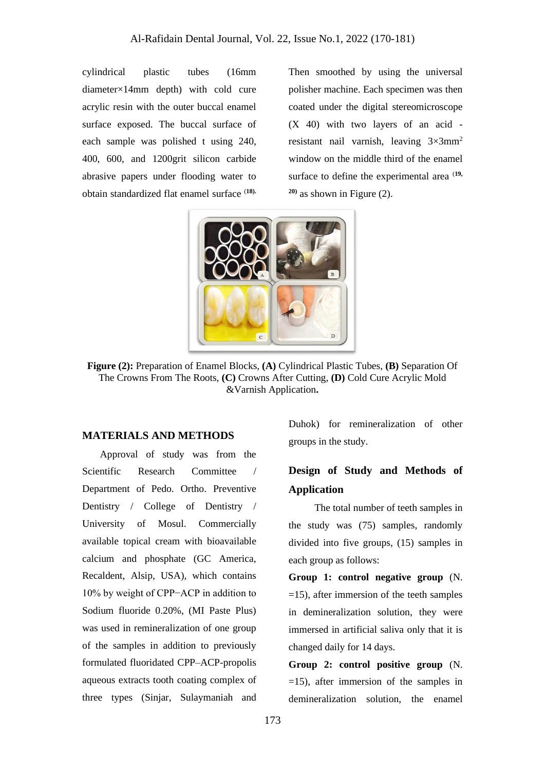cylindrical plastic tubes (16mm diameter×14mm depth) with cold cure acrylic resin with the outer buccal enamel surface exposed. The buccal surface of each sample was polished t using 240, 400, 600, and 1200grit silicon carbide abrasive papers under flooding water to obtain standardized flat enamel surface (**18).** Then smoothed by using the universal polisher machine. Each specimen was then coated under the digital stereomicroscope (X 40) with two layers of an acid resistant nail varnish, leaving  $3\times3$ mm<sup>2</sup> window on the middle third of the enamel surface to define the experimental area <sup>(19,</sup> **20)** as shown in Figure (2).



**Figure (2):** Preparation of Enamel Blocks, **(A)** Cylindrical Plastic Tubes, **(B)** Separation Of The Crowns From The Roots, **(C)** Crowns After Cutting, **(D)** Cold Cure Acrylic Mold &Varnish Application**.**

## **MATERIALS AND METHODS**

 Approval of study was from the Scientific Research Committee / Department of Pedo. Ortho. Preventive Dentistry / College of Dentistry / University of Mosul. Commercially available topical cream with bioavailable calcium and phosphate (GC America, Recaldent, Alsip, USA), which contains 10% by weight of CPP−ACP in addition to Sodium fluoride 0.20%, (MI Paste Plus) was used in remineralization of one group of the samples in addition to previously formulated fluoridated CPP–ACP-propolis aqueous extracts tooth coating complex of three types (Sinjar, Sulaymaniah and Duhok) for remineralization of other groups in the study.

## **Design of Study and Methods of Application**

The total number of teeth samples in the study was (75) samples, randomly divided into five groups, (15) samples in each group as follows:

**Group 1: control negative group** (N. =15), after immersion of the teeth samples in demineralization solution, they were immersed in artificial saliva only that it is changed daily for 14 days.

**Group 2: control positive group** (N. =15), after immersion of the samples in demineralization solution, the enamel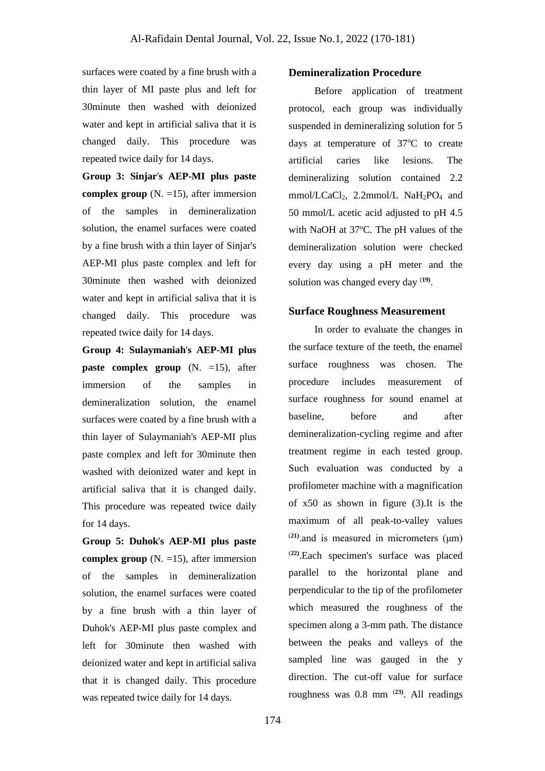surfaces were coated by a fine brush with a thin layer of MI paste plus and left for 30minute then washed with deionized water and kept in artificial saliva that it is changed daily. This procedure was repeated twice daily for 14 days.

**Group 3: Sinjar**'**s AEP-MI plus paste complex group** (N. =15), after immersion of the samples in demineralization solution, the enamel surfaces were coated by a fine brush with a thin layer of Sinjar's AEP-MI plus paste complex and left for 30minute then washed with deionized water and kept in artificial saliva that it is changed daily. This procedure was repeated twice daily for 14 days.

**Group 4: Sulaymaniah**'**s AEP-MI plus paste complex group**  $(N. =15)$ , after immersion of the samples in demineralization solution, the enamel surfaces were coated by a fine brush with a thin layer of Sulaymaniah's AEP-MI plus paste complex and left for 30minute then washed with deionized water and kept in artificial saliva that it is changed daily. This procedure was repeated twice daily for 14 days.

**Group 5: Duhok**'**s AEP-MI plus paste complex group** (N. =15), after immersion of the samples in demineralization solution, the enamel surfaces were coated by a fine brush with a thin layer of Duhok's AEP-MI plus paste complex and left for 30minute then washed with deionized water and kept in artificial saliva that it is changed daily. This procedure was repeated twice daily for 14 days.

#### **Demineralization Procedure**

Before application of treatment protocol, each group was individually suspended in demineralizing solution for 5 days at temperature of  $37^{\circ}$ C to create artificial caries like lesions. The demineralizing solution contained 2.2 mmol/LCaCl<sub>2</sub>, 2.2mmol/L NaH<sub>2</sub>PO<sub>4</sub> and 50 mmol/L acetic acid adjusted to pH 4.5 with NaOH at  $37^{\circ}$ C. The pH values of the demineralization solution were checked every day using a pH meter and the solution was changed every day (**19)** .

### **Surface Roughness Measurement**

In order to evaluate the changes in the surface texture of the teeth, the enamel surface roughness was chosen. The procedure includes measurement of surface roughness for sound enamel at baseline, before and after demineralization-cycling regime and after treatment regime in each tested group. Such evaluation was conducted by a profilometer machine with a magnification of x50 as shown in figure (3).It is the maximum of all peak-to-valley values (**21)**.and is measured in micrometers (μm) (**22)**.Each specimen's surface was placed parallel to the horizontal plane and perpendicular to the tip of the profilometer which measured the roughness of the specimen along a 3-mm path. The distance between the peaks and valleys of the sampled line was gauged in the y direction. The cut-off value for surface roughness was 0.8 mm (**23)** . All readings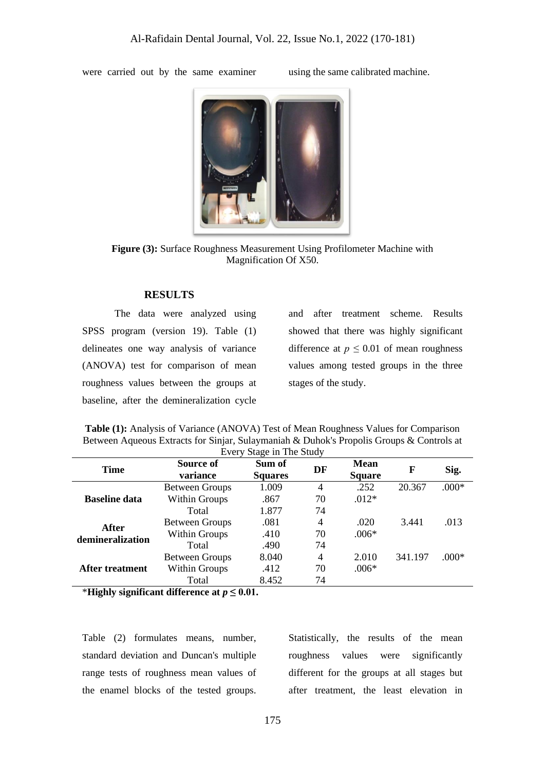were carried out by the same examiner using the same calibrated machine.



**Figure (3):** Surface Roughness Measurement Using Profilometer Machine with Magnification Of X50.

### **RESULTS**

The data were analyzed using SPSS program (version 19). Table (1) delineates one way analysis of variance (ANOVA) test for comparison of mean roughness values between the groups at baseline, after the demineralization cycle

and after treatment scheme. Results showed that there was highly significant difference at  $p \leq 0.01$  of mean roughness values among tested groups in the three stages of the study.

|                                  | Between Aqueous Extracts for Sinjar, Sulaymaniah & Duhok's Propolis Groups & Controls at |                |    |               |        |         |  |  |
|----------------------------------|------------------------------------------------------------------------------------------|----------------|----|---------------|--------|---------|--|--|
| Every Stage in The Study         |                                                                                          |                |    |               |        |         |  |  |
| <b>Time</b>                      | Source of                                                                                | Sum of         | DF | <b>Mean</b>   | F      | Sig.    |  |  |
|                                  | variance                                                                                 | <b>Squares</b> |    | <b>Square</b> |        |         |  |  |
| <b>Baseline data</b>             | <b>Between Groups</b>                                                                    | 1.009          | 4  | .252          | 20.367 | $.000*$ |  |  |
|                                  | <b>Within Groups</b>                                                                     | .867           | 70 | $.012*$       |        |         |  |  |
|                                  | Total                                                                                    | 1.877          | 74 |               |        |         |  |  |
| <b>After</b><br>demineralization | <b>Between Groups</b>                                                                    | .081           | 4  | .020          | 3.441  | .013    |  |  |
|                                  | <b>Within Groups</b>                                                                     | .410           | 70 | $.006*$       |        |         |  |  |
|                                  |                                                                                          | $\sim$ $\sim$  |    |               |        |         |  |  |

Within Groups .412 70 .006\*

Between Groups 8.040 4 2.010 341.197 .000\*

Total .490 74

Total 8.452 74

| <b>Table (1):</b> Analysis of Variance (ANOVA) Test of Mean Roughness Values for Comparison |
|---------------------------------------------------------------------------------------------|
| Between Aqueous Extracts for Sinjar, Sulaymaniah & Duhok's Propolis Groups & Controls at    |
|                                                                                             |

\***Highly significant difference at**  $p \leq 0.01$ .

**After treatment**

Table (2) formulates means, number, standard deviation and Duncan's multiple range tests of roughness mean values of the enamel blocks of the tested groups. Statistically, the results of the mean roughness values were significantly different for the groups at all stages but after treatment, the least elevation in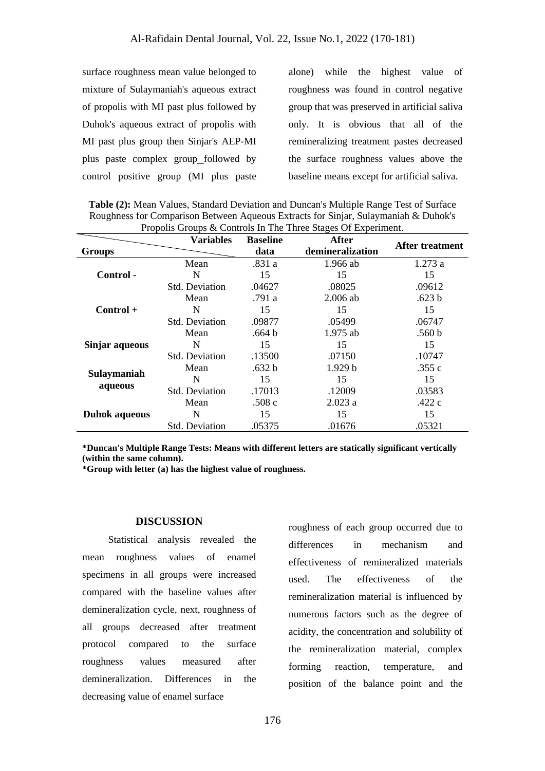surface roughness mean value belonged to mixture of Sulaymaniah's aqueous extract of propolis with MI past plus followed by Duhok's aqueous extract of propolis with MI past plus group then Sinjar's AEP-MI plus paste complex group followed by control positive group (MI plus paste

alone) while the highest value of roughness was found in control negative group that was preserved in artificial saliva only. It is obvious that all of the remineralizing treatment pastes decreased the surface roughness values above the baseline means except for artificial saliva.

**Table (2):** Mean Values, Standard Deviation and Duncan's Multiple Range Test of Surface Roughness for Comparison Between Aqueous Extracts for Sinjar, Sulaymaniah & Duhok's Propolis Groups & Controls In The Three Stages Of Experiment.

|                        | <b>Variables</b>      | <b>Baseline</b>   | After              | After treatment   |  |
|------------------------|-----------------------|-------------------|--------------------|-------------------|--|
| <b>Groups</b>          |                       | data              | demineralization   |                   |  |
| Control -              | Mean                  | .831 a            | $1.966$ ab         | 1.273a            |  |
|                        | N                     | 15                | 15                 | 15                |  |
|                        | <b>Std. Deviation</b> | .04627            | .08025             | .09612            |  |
| $Control +$            | Mean                  | .791 a            | $2.006$ ab         | .623 <sub>b</sub> |  |
|                        | N                     | 15                | 15                 | 15                |  |
|                        | <b>Std. Deviation</b> | .09877            | .05499             | .06747            |  |
|                        | Mean                  | .664 b            | $1.975$ ab         | .560 <sub>b</sub> |  |
| Sinjar aqueous         | N                     | 15                | 15                 | 15                |  |
|                        | <b>Std.</b> Deviation | .13500            | .07150             | .10747            |  |
| Sulaymaniah<br>aqueous | Mean                  | .632 <sub>b</sub> | 1.929 <sub>b</sub> | .355 $c$          |  |
|                        | N                     | 15                | 15                 | 15                |  |
|                        | <b>Std. Deviation</b> | .17013            | .12009             | .03583            |  |
| <b>Duhok</b> aqueous   | Mean                  | .508c             | 2.023a             | .422 $c$          |  |
|                        | N                     | 15                | 15                 | 15                |  |
|                        | <b>Std. Deviation</b> | .05375            | .01676             | .05321            |  |

**\*Duncan's Multiple Range Tests: Means with different letters are statically significant vertically (within the same column).**

**\*Group with letter (a) has the highest value of roughness.** 

#### **DISCUSSION**

Statistical analysis revealed the mean roughness values of enamel specimens in all groups were increased compared with the baseline values after demineralization cycle, next, roughness of all groups decreased after treatment protocol compared to the surface roughness values measured after demineralization. Differences in the decreasing value of enamel surface

roughness of each group occurred due to differences in mechanism and effectiveness of remineralized materials used. The effectiveness of the remineralization material is influenced by numerous factors such as the degree of acidity, the concentration and solubility of the remineralization material, complex forming reaction, temperature, and position of the balance point and the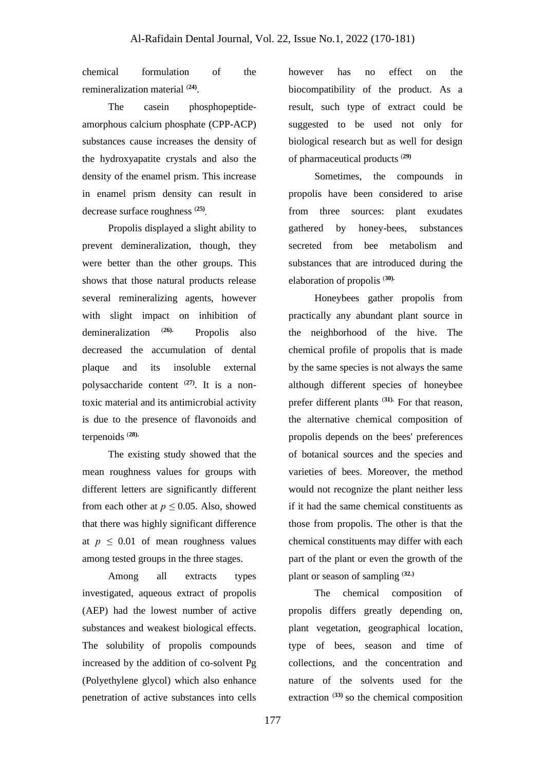chemical formulation of the remineralization material (**24)** .

The casein phosphopeptideamorphous calcium phosphate (CPP-ACP) substances cause increases the density of the hydroxyapatite crystals and also the density of the enamel prism. This increase in enamel prism density can result in decrease surface roughness (**25) .**

Propolis displayed a slight ability to prevent demineralization, though, they were better than the other groups. This shows that those natural products release several remineralizing agents, however with slight impact on inhibition of demineralization (**26).** Propolis also decreased the accumulation of dental plaque and its insoluble external polysaccharide content (**27)**. It is a nontoxic material and its antimicrobial activity is due to the presence of flavonoids and terpenoids (**28).**

The existing study showed that the mean roughness values for groups with different letters are significantly different from each other at  $p \leq 0.05$ . Also, showed that there was highly significant difference at  $p \leq 0.01$  of mean roughness values among tested groups in the three stages.

Among all extracts types investigated, aqueous extract of propolis (AEP) had the lowest number of active substances and weakest biological effects. The solubility of propolis compounds increased by the addition of co-solvent Pg (Polyethylene glycol) which also enhance penetration of active substances into cells

however has no effect on the biocompatibility of the product. As a result, such type of extract could be suggested to be used not only for biological research but as well for design of pharmaceutical products (**29)**

Sometimes, the compounds in propolis have been considered to arise from three sources: plant exudates gathered by honey-bees, substances secreted from bee metabolism and substances that are introduced during the elaboration of propolis (**30).**

Honeybees gather propolis from practically any abundant plant source in the neighborhood of the hive. The chemical profile of propolis that is made by the same species is not always the same although different species of honeybee prefer different plants (**31).** For that reason, the alternative chemical composition of propolis depends on the bees' preferences of botanical sources and the species and varieties of bees. Moreover, the method would not recognize the plant neither less if it had the same chemical constituents as those from propolis. The other is that the chemical constituents may differ with each part of the plant or even the growth of the plant or season of sampling (**32.)**

The chemical composition of propolis differs greatly depending on, plant vegetation, geographical location, type of bees, season and time of collections, and the concentration and nature of the solvents used for the extraction (**33)** so the chemical composition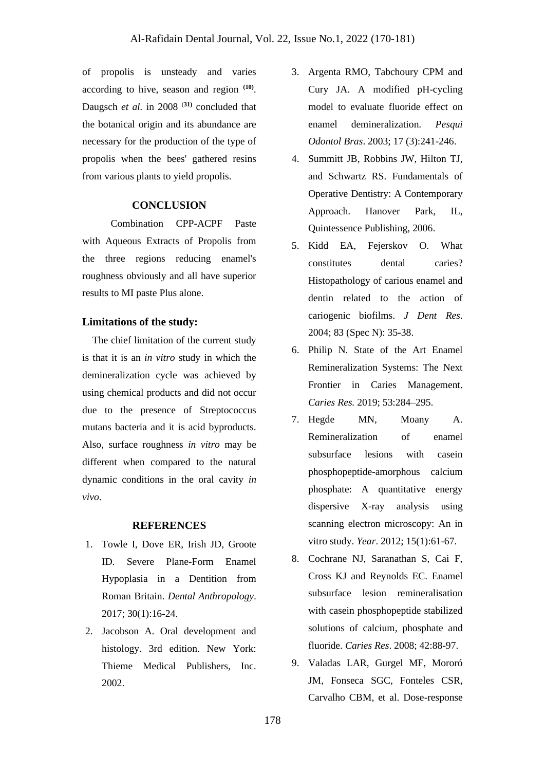of propolis is unsteady and varies according to hive, season and region **(10)** . Daugsch *et al.* in 2008 (**31)** concluded that the botanical origin and its abundance are necessary for the production of the type of propolis when the bees' gathered resins from various plants to yield propolis.

## **CONCLUSION**

Combination CPP-ACPF Paste with Aqueous Extracts of Propolis from the three regions reducing enamel's roughness obviously and all have superior results to MI paste Plus alone.

## **Limitations of the study:**

 The chief limitation of the current study is that it is an *in vitro* study in which the demineralization cycle was achieved by using chemical products and did not occur due to the presence of Streptococcus mutans bacteria and it is acid byproducts. Also, surface roughness *in vitro* may be different when compared to the natural dynamic conditions in the oral cavity *in vivo*.

### **REFERENCES**

- 1. Towle I, Dove ER, Irish JD, Groote ID. Severe Plane-Form Enamel Hypoplasia in a Dentition from Roman Britain. *Dental Anthropology*. 2017; 30(1):16-24.
- 2. Jacobson A. Oral development and histology. 3rd edition. New York: Thieme Medical Publishers, Inc. 2002.
- 3. Argenta RMO, Tabchoury CPM and Cury JA. A modified pH-cycling model to evaluate fluoride effect on enamel demineralization. *Pesqui Odontol Bras*. 2003; 17 (3):241-246.
- 4. Summitt JB, Robbins JW, Hilton TJ, and Schwartz RS. Fundamentals of Operative Dentistry: A Contemporary Approach. Hanover Park, IL, Quintessence Publishing, 2006.
- 5. Kidd EA, Fejerskov O. What constitutes dental caries? Histopathology of carious enamel and dentin related to the action of cariogenic biofilms. *J Dent Res*. 2004; 83 (Spec N): 35-38.
- 6. Philip N. State of the Art Enamel Remineralization Systems: The Next Frontier in Caries Management. *Caries Res.* 2019; 53:284–295.
- 7. Hegde MN, Moany A. Remineralization of enamel subsurface lesions with casein phosphopeptide-amorphous calcium phosphate: A quantitative energy dispersive X-ray analysis using scanning electron microscopy: An in vitro study. *Year*. 2012; 15(1):61-67.
- 8. Cochrane NJ, Saranathan S, Cai F, Cross KJ and Reynolds EC. Enamel subsurface lesion remineralisation with casein phosphopeptide stabilized solutions of calcium, phosphate and fluoride. *Caries Res*. 2008; 42:88-97.
- 9. Valadas LAR, Gurgel MF, Mororó JM, Fonseca SGC, Fonteles CSR, Carvalho CBM, et al. Dose-response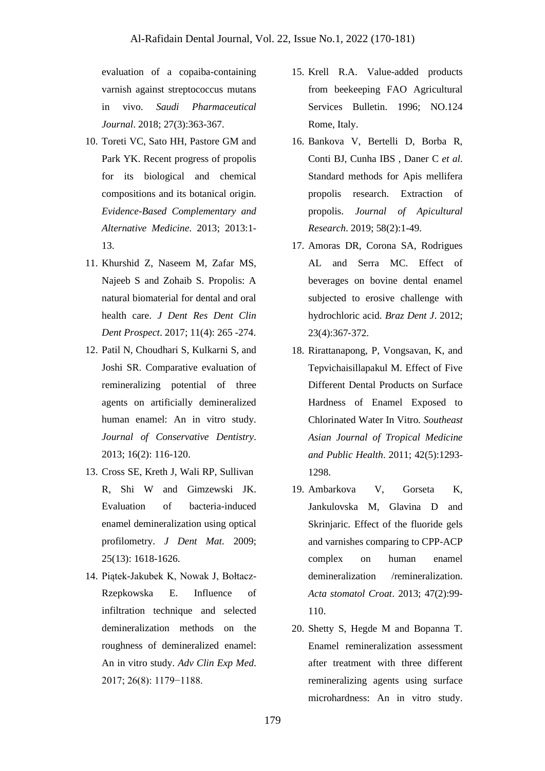evaluation of a copaiba-containing varnish against streptococcus mutans in vivo. *Saudi Pharmaceutical Journal*. 2018; 27(3):363-367.

- 10. Toreti VC, Sato HH, Pastore GM and Park YK. Recent progress of propolis for its biological and chemical compositions and its botanical origin. *Evidence-Based Complementary and Alternative Medicine*. 2013; 2013:1- 13.
- 11. Khurshid Z, Naseem M, Zafar MS, Najeeb S and Zohaib S. Propolis: A natural biomaterial for dental and oral health care. *J Dent Res Dent Clin Dent Prospect*. 2017; 11(4): 265 -274.
- 12. Patil N, Choudhari S, Kulkarni S, and Joshi SR. Comparative evaluation of remineralizing potential of three agents on artificially demineralized human enamel: An in vitro study. *Journal of Conservative Dentistry*. 2013; 16(2): 116-120.
- 13. Cross SE, Kreth J, Wali RP, Sullivan R, Shi W and Gimzewski JK. Evaluation of bacteria-induced enamel demineralization using optical profilometry. *J Dent Mat.* 2009; 25(13): 1618-1626.
- 14. Piątek-Jakubek K, Nowak J, Bołtacz-Rzepkowska E. Influence of infiltration technique and selected demineralization methods on the roughness of demineralized enamel: An in vitro study. *Adv Clin Exp Med*. 2017; 26(8): 1179−1188.
- 15. Krell R.A. Value-added products from beekeeping FAO Agricultural Services Bulletin. 1996; NO.124 Rome, Italy.
- 16. Bankova V, Bertelli D, Borba R, Conti BJ, Cunha IBS , Daner C *et al*. Standard methods for Apis mellifera propolis research. Extraction of propolis. *Journal of Apicultural Research*. 2019; 58(2):1-49.
- 17. Amoras DR, Corona SA, Rodrigues AL and Serra MC. Effect of beverages on bovine dental enamel subjected to erosive challenge with hydrochloric acid. *Braz Dent J*. 2012; 23(4):367‐372.
- 18. Rirattanapong, P, Vongsavan, K, and Tepvichaisillapakul M. Effect of Five Different Dental Products on Surface Hardness of Enamel Exposed to Chlorinated Water In Vitro*. Southeast Asian Journal of Tropical Medicine and Public Health*. 2011; 42(5):1293- 1298.
- 19. Ambarkova V, Gorseta K, Jankulovska M, Glavina D and Skrinjaric. Effect of the fluoride gels and varnishes comparing to CPP-ACP complex on human enamel demineralization /remineralization. *Acta stomatol Croat*. 2013; 47(2):99- 110.
- 20. Shetty S, Hegde M and Bopanna T. Enamel remineralization assessment after treatment with three different remineralizing agents using surface microhardness: An in vitro study.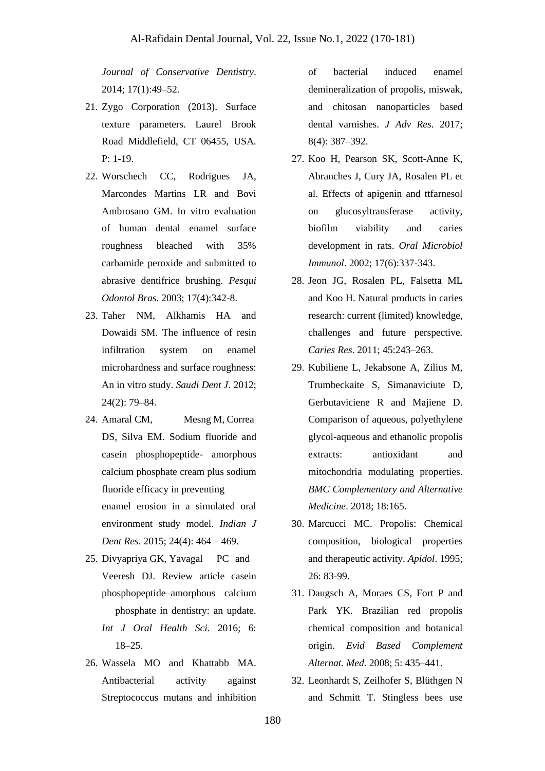*Journal of Conservative Dentistry*. 2014; 17(1):49–52.

- 21. Zygo Corporation (2013). Surface texture parameters. Laurel Brook Road Middlefield, CT 06455, USA. P: 1-19.
- 22. Worschech CC, Rodrigues JA, Marcondes Martins LR and Bovi Ambrosano GM. In vitro evaluation of human dental enamel surface roughness bleached with 35% carbamide peroxide and submitted to abrasive dentifrice brushing. *Pesqui Odontol Bras*. 2003; 17(4):342-8.
- 23. Taher NM, Alkhamis HA and Dowaidi SM. The influence of resin infiltration system on enamel microhardness and surface roughness: An in vitro study. *Saudi Dent J*. 2012; 24(2): 79–84.
- 24. Amaral CM, Mesng M, Correa DS, Silva EM. Sodium fluoride and casein phosphopeptide- amorphous calcium phosphate cream plus sodium fluoride efficacy in preventing enamel erosion in a simulated oral environment study model. *Indian J Dent Res*. 2015; 24(4): 464 – 469.
- 25. Divyapriya GK, Yavagal PC and Veeresh DJ. Review article casein phosphopeptide–amorphous calcium phosphate in dentistry: an update. *Int J Oral Health Sci*. 2016; 6: 18–25.
- 26. Wassela MO and Khattabb MA. Antibacterial activity against Streptococcus mutans and inhibition

of bacterial induced enamel demineralization of propolis, miswak, and chitosan nanoparticles based dental varnishes. *J Adv Res*. 2017; 8(4): 387–392.

- 27. Koo H, Pearson SK, Scott-Anne K, Abranches J, Cury JA, Rosalen PL et al. Effects of apigenin and ttfarnesol on glucosyltransferase activity, biofilm viability and caries development in rats. *Oral Microbiol Immunol*. 2002; 17(6):337-343.
- 28. Jeon JG, Rosalen PL, Falsetta ML and Koo H. Natural products in caries research: current (limited) knowledge, challenges and future perspective. *Caries Res*. 2011; 45:243–263.
- 29. Kubiliene L, Jekabsone A, Zilius M, Trumbeckaite S, Simanaviciute D, Gerbutaviciene R and Majiene D. Comparison of aqueous, polyethylene glycol-aqueous and ethanolic propolis extracts: antioxidant and mitochondria modulating properties. *BMC Complementary and Alternative Medicine*. 2018; 18:165.
- 30. Marcucci MC. Propolis: Chemical composition, biological properties and therapeutic activity. *Apidol*. 1995; 26: 83-99.
- 31. Daugsch A, Moraes CS, Fort P and Park YK. Brazilian red propolis chemical composition and botanical origin. *Evid Based Complement Alternat. Med.* 2008; 5: 435–441.
- 32. Leonhardt S, Zeilhofer S, Blüthgen N and Schmitt T. Stingless bees use